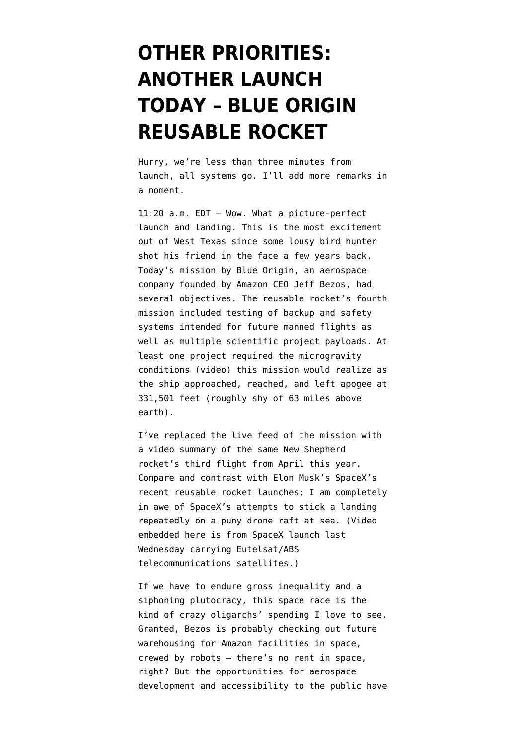## **[OTHER PRIORITIES:](https://www.emptywheel.net/2016/06/19/other-priorities-another-launch-today-blue-origin-reusable-rocket/) [ANOTHER LAUNCH](https://www.emptywheel.net/2016/06/19/other-priorities-another-launch-today-blue-origin-reusable-rocket/) [TODAY – BLUE ORIGIN](https://www.emptywheel.net/2016/06/19/other-priorities-another-launch-today-blue-origin-reusable-rocket/) [REUSABLE ROCKET](https://www.emptywheel.net/2016/06/19/other-priorities-another-launch-today-blue-origin-reusable-rocket/)**

Hurry, we're less than three minutes from launch, all systems go. I'll add more remarks in a moment.

11:20 a.m. EDT — Wow. What a picture-perfect launch and landing. This is the most excitement out of West Texas since some lousy bird hunter shot his friend in the face a few years back. Today's mission by Blue Origin, an aerospace company founded by Amazon CEO Jeff Bezos, had several objectives. The reusable rocket's fourth mission included testing of backup and safety systems intended for future manned flights as well as multiple scientific project payloads. At least one project [required the microgravity](https://www.youtube.com/watch?v=KcejdM9PLCw) [conditions](https://www.youtube.com/watch?v=KcejdM9PLCw) (video) this mission would realize as the ship approached, reached, and left apogee at 331,501 feet (roughly shy of 63 miles above earth).

I've replaced the live feed of the mission with a video summary of the same New Shepherd rocket's third flight from April this year. Compare and contrast with Elon Musk's SpaceX's recent reusable rocket launches; I am completely in awe of SpaceX's attempts to stick a landing repeatedly on a puny drone raft at sea. (Video embedded here is from SpaceX launch last Wednesday carrying Eutelsat/ABS telecommunications satellites.)

If we have to endure gross inequality and a siphoning plutocracy, this space race is the kind of crazy oligarchs' spending I love to see. Granted, Bezos is probably checking out future warehousing for Amazon facilities in space, crewed by robots — there's no rent in space, right? But the opportunities for aerospace development and accessibility to the public have